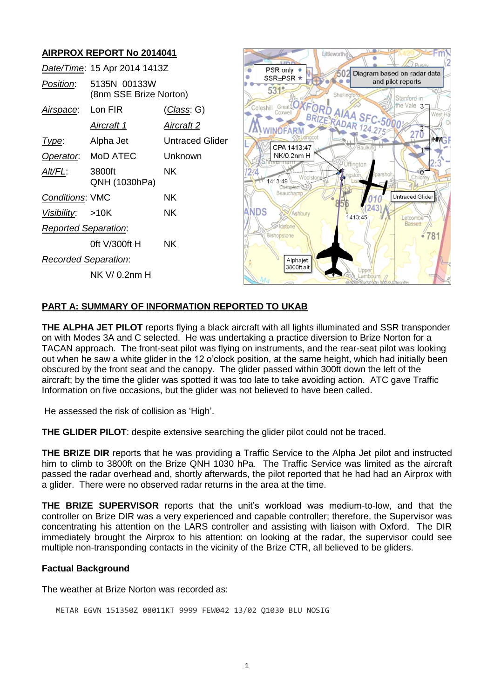# **AIRPROX REPORT No 2014041**

|                             | Date/Time: 15 Apr 2014 1413Z           |                        |
|-----------------------------|----------------------------------------|------------------------|
| <i>Position</i> :           | 5135N 00133W<br>(8nm SSE Brize Norton) |                        |
| Airspace: Lon FIR           |                                        | (Class: G)             |
|                             | Aircraft 1                             | <u>Aircraft 2</u>      |
| <u>lype:</u>                | Alpha Jet                              | <b>Untraced Glider</b> |
|                             | Operator: MoD ATEC                     | Unknown                |
| Alt/FL:                     | 3800ft<br>QNH (1030hPa)                | NK.                    |
| <b>Conditions: VMC</b>      |                                        | ΝK                     |
| Visibility: >10K            |                                        | NK.                    |
| <b>Reported Separation:</b> |                                        |                        |
|                             | 0ft V/300ft H                          | <b>NK</b>              |
| <b>Recorded Separation:</b> |                                        |                        |
|                             | NK V/ 0.2nm H                          |                        |



### **PART A: SUMMARY OF INFORMATION REPORTED TO UKAB**

**THE ALPHA JET PILOT** reports flying a black aircraft with all lights illuminated and SSR transponder on with Modes 3A and C selected. He was undertaking a practice diversion to Brize Norton for a TACAN approach. The front-seat pilot was flying on instruments, and the rear-seat pilot was looking out when he saw a white glider in the 12 o'clock position, at the same height, which had initially been obscured by the front seat and the canopy. The glider passed within 300ft down the left of the aircraft; by the time the glider was spotted it was too late to take avoiding action. ATC gave Traffic Information on five occasions, but the glider was not believed to have been called.

He assessed the risk of collision as 'High'.

**THE GLIDER PILOT**: despite extensive searching the glider pilot could not be traced.

**THE BRIZE DIR** reports that he was providing a Traffic Service to the Alpha Jet pilot and instructed him to climb to 3800ft on the Brize QNH 1030 hPa. The Traffic Service was limited as the aircraft passed the radar overhead and, shortly afterwards, the pilot reported that he had had an Airprox with a glider. There were no observed radar returns in the area at the time.

**THE BRIZE SUPERVISOR** reports that the unit's workload was medium-to-low, and that the controller on Brize DIR was a very experienced and capable controller; therefore, the Supervisor was concentrating his attention on the LARS controller and assisting with liaison with Oxford. The DIR immediately brought the Airprox to his attention: on looking at the radar, the supervisor could see multiple non-transponding contacts in the vicinity of the Brize CTR, all believed to be gliders.

#### **Factual Background**

The weather at Brize Norton was recorded as:

METAR EGVN 151350Z 08011KT 9999 FEW042 13/02 Q1030 BLU NOSIG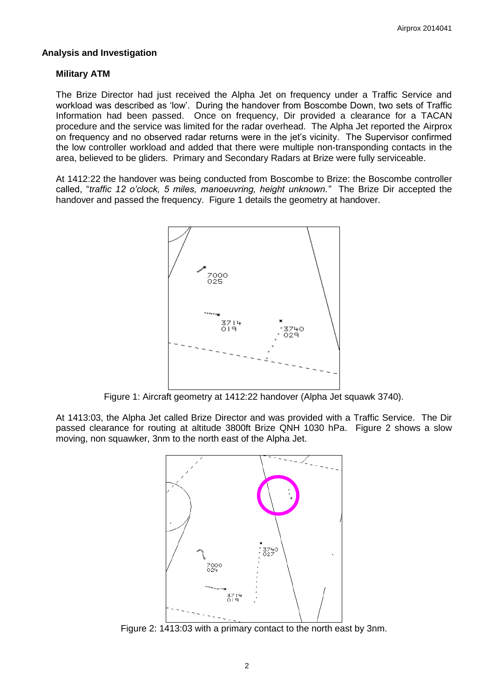### **Analysis and Investigation**

### **Military ATM**

The Brize Director had just received the Alpha Jet on frequency under a Traffic Service and workload was described as 'low'. During the handover from Boscombe Down, two sets of Traffic Information had been passed. Once on frequency, Dir provided a clearance for a TACAN procedure and the service was limited for the radar overhead. The Alpha Jet reported the Airprox on frequency and no observed radar returns were in the jet's vicinity. The Supervisor confirmed the low controller workload and added that there were multiple non-transponding contacts in the area, believed to be gliders. Primary and Secondary Radars at Brize were fully serviceable.

At 1412:22 the handover was being conducted from Boscombe to Brize: the Boscombe controller called, "*traffic 12 o'clock, 5 miles, manoeuvring, height unknown."* The Brize Dir accepted the handover and passed the frequency. Figure 1 details the geometry at handover.



Figure 1: Aircraft geometry at 1412:22 handover (Alpha Jet squawk 3740).

At 1413:03, the Alpha Jet called Brize Director and was provided with a Traffic Service. The Dir passed clearance for routing at altitude 3800ft Brize QNH 1030 hPa. Figure 2 shows a slow moving, non squawker, 3nm to the north east of the Alpha Jet.



Figure 2: 1413:03 with a primary contact to the north east by 3nm.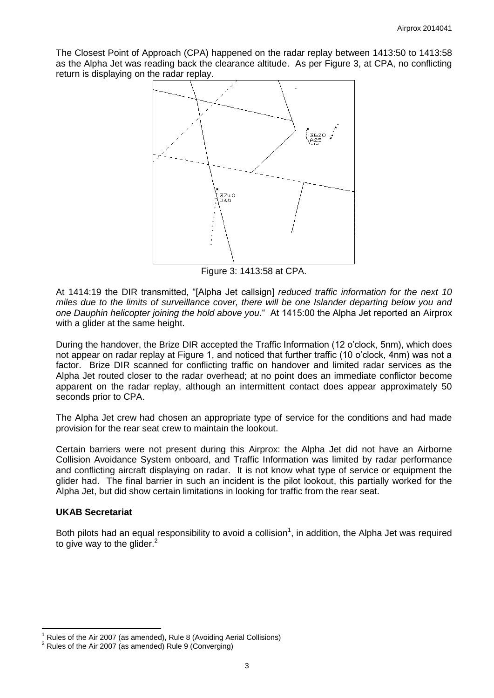The Closest Point of Approach (CPA) happened on the radar replay between 1413:50 to 1413:58 as the Alpha Jet was reading back the clearance altitude. As per Figure 3, at CPA, no conflicting return is displaying on the radar replay.



Figure 3: 1413:58 at CPA.

At 1414:19 the DIR transmitted, "[Alpha Jet callsign] *reduced traffic information for the next 10 miles due to the limits of surveillance cover, there will be one Islander departing below you and one Dauphin helicopter joining the hold above you*." At 1415:00 the Alpha Jet reported an Airprox with a glider at the same height.

During the handover, the Brize DIR accepted the Traffic Information (12 o'clock, 5nm), which does not appear on radar replay at Figure 1, and noticed that further traffic (10 o'clock, 4nm) was not a factor. Brize DIR scanned for conflicting traffic on handover and limited radar services as the Alpha Jet routed closer to the radar overhead; at no point does an immediate conflictor become apparent on the radar replay, although an intermittent contact does appear approximately 50 seconds prior to CPA.

The Alpha Jet crew had chosen an appropriate type of service for the conditions and had made provision for the rear seat crew to maintain the lookout.

Certain barriers were not present during this Airprox: the Alpha Jet did not have an Airborne Collision Avoidance System onboard, and Traffic Information was limited by radar performance and conflicting aircraft displaying on radar. It is not know what type of service or equipment the glider had. The final barrier in such an incident is the pilot lookout, this partially worked for the Alpha Jet, but did show certain limitations in looking for traffic from the rear seat.

### **UKAB Secretariat**

 $\overline{\phantom{a}}$ 

Both pilots had an equal responsibility to avoid a collision<sup>1</sup>, in addition, the Alpha Jet was required to give way to the glider. $2$ 

<sup>1</sup> Rules of the Air 2007 (as amended), Rule 8 (Avoiding Aerial Collisions)

 $2$  Rules of the Air 2007 (as amended) Rule 9 (Converging)